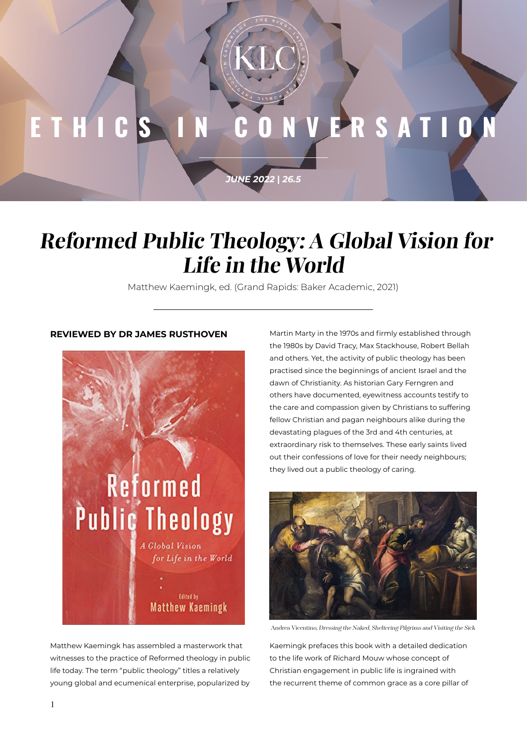## ETHICS IN CONVERSATION

*JUNE 2022* **|** *26.5*

## **Reformed Public Theology: A Global Vision for Life in the World**

Matthew Kaemingk, ed. (Grand Rapids: Baker Academic, 2021)

## **REVIEWED BY DR JAMES RUSTHOVEN**



Matthew Kaemingk has assembled a masterwork that witnesses to the practice of Reformed theology in public life today. The term "public theology" titles a relatively young global and ecumenical enterprise, popularized by

Martin Marty in the 1970s and firmly established through the 1980s by David Tracy, Max Stackhouse, Robert Bellah and others. Yet, the activity of public theology has been practised since the beginnings of ancient Israel and the dawn of Christianity. As historian Gary Ferngren and others have documented, eyewitness accounts testify to the care and compassion given by Christians to suffering fellow Christian and pagan neighbours alike during the devastating plagues of the 3rd and 4th centuries, at extraordinary risk to themselves. These early saints lived out their confessions of love for their needy neighbours; they lived out a public theology of caring.



Andrea Vicentino, Dressing the Naked, Sheltering Pilgrims and Visiting the Sick

Kaemingk prefaces this book with a detailed dedication to the life work of Richard Mouw whose concept of Christian engagement in public life is ingrained with the recurrent theme of common grace as a core pillar of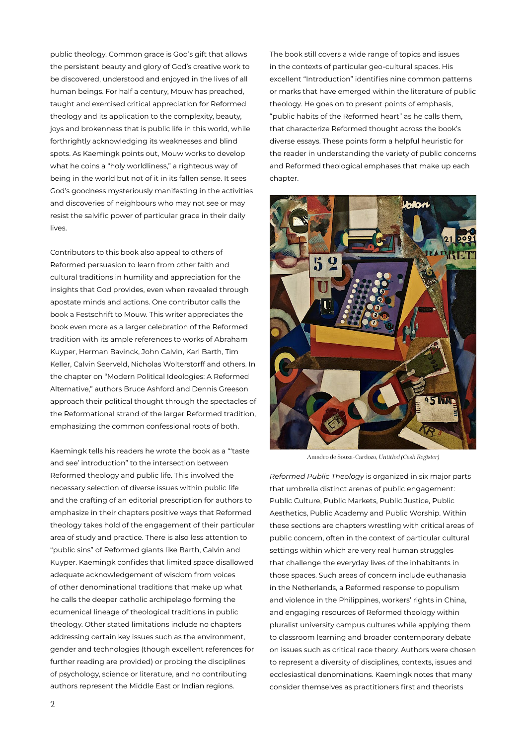public theology. Common grace is God's gift that allows the persistent beauty and glory of God's creative work to be discovered, understood and enjoyed in the lives of all human beings. For half a century, Mouw has preached, taught and exercised critical appreciation for Reformed theology and its application to the complexity, beauty, joys and brokenness that is public life in this world, while forthrightly acknowledging its weaknesses and blind spots. As Kaemingk points out, Mouw works to develop what he coins a "holy worldliness," a righteous way of being in the world but not of it in its fallen sense. It sees God's goodness mysteriously manifesting in the activities and discoveries of neighbours who may not see or may resist the salvific power of particular grace in their daily lives.

Contributors to this book also appeal to others of Reformed persuasion to learn from other faith and cultural traditions in humility and appreciation for the insights that God provides, even when revealed through apostate minds and actions. One contributor calls the book a Festschrift to Mouw. This writer appreciates the book even more as a larger celebration of the Reformed tradition with its ample references to works of Abraham Kuyper, Herman Bavinck, John Calvin, Karl Barth, Tim Keller, Calvin Seerveld, Nicholas Wolterstorff and others. In the chapter on "Modern Political Ideologies: A Reformed Alternative," authors Bruce Ashford and Dennis Greeson approach their political thought through the spectacles of the Reformational strand of the larger Reformed tradition, emphasizing the common confessional roots of both.

Kaemingk tells his readers he wrote the book as a "'taste and see' introduction" to the intersection between Reformed theology and public life. This involved the necessary selection of diverse issues within public life and the crafting of an editorial prescription for authors to emphasize in their chapters positive ways that Reformed theology takes hold of the engagement of their particular area of study and practice. There is also less attention to "public sins" of Reformed giants like Barth, Calvin and Kuyper. Kaemingk confides that limited space disallowed adequate acknowledgement of wisdom from voices of other denominational traditions that make up what he calls the deeper catholic archipelago forming the ecumenical lineage of theological traditions in public theology. Other stated limitations include no chapters addressing certain key issues such as the environment, gender and technologies (though excellent references for further reading are provided) or probing the disciplines of psychology, science or literature, and no contributing authors represent the Middle East or Indian regions.

The book still covers a wide range of topics and issues in the contexts of particular geo-cultural spaces. His excellent "Introduction" identifies nine common patterns or marks that have emerged within the literature of public theology. He goes on to present points of emphasis, "public habits of the Reformed heart" as he calls them, that characterize Reformed thought across the book's diverse essays. These points form a helpful heuristic for the reader in understanding the variety of public concerns and Reformed theological emphases that make up each chapter.



Amadeo de Souza-Cardozo, Untitled (Cash Register)

*Reformed Public Theology* is organized in six major parts that umbrella distinct arenas of public engagement: Public Culture, Public Markets, Public Justice, Public Aesthetics, Public Academy and Public Worship. Within these sections are chapters wrestling with critical areas of public concern, often in the context of particular cultural settings within which are very real human struggles that challenge the everyday lives of the inhabitants in those spaces. Such areas of concern include euthanasia in the Netherlands, a Reformed response to populism and violence in the Philippines, workers' rights in China, and engaging resources of Reformed theology within pluralist university campus cultures while applying them to classroom learning and broader contemporary debate on issues such as critical race theory. Authors were chosen to represent a diversity of disciplines, contexts, issues and ecclesiastical denominations. Kaemingk notes that many consider themselves as practitioners first and theorists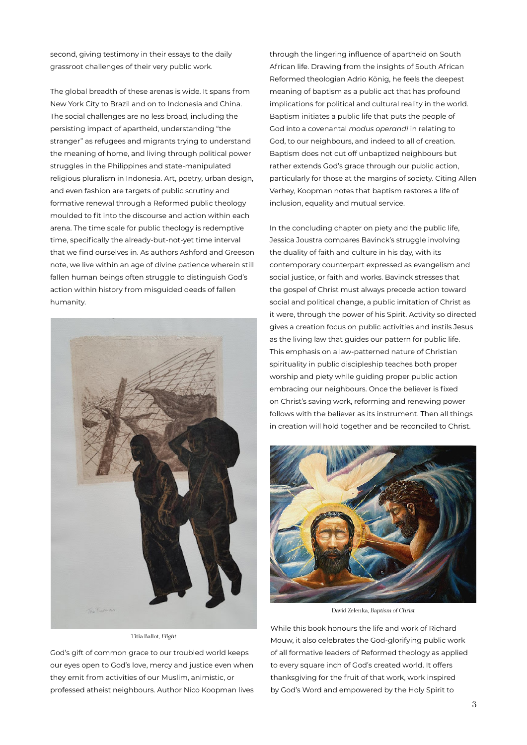second, giving testimony in their essays to the daily grassroot challenges of their very public work.

The global breadth of these arenas is wide. It spans from New York City to Brazil and on to Indonesia and China. The social challenges are no less broad, including the persisting impact of apartheid, understanding "the stranger" as refugees and migrants trying to understand the meaning of home, and living through political power struggles in the Philippines and state-manipulated religious pluralism in Indonesia. Art, poetry, urban design, and even fashion are targets of public scrutiny and formative renewal through a Reformed public theology moulded to fit into the discourse and action within each arena. The time scale for public theology is redemptive time, specifically the already-but-not-yet time interval that we find ourselves in. As authors Ashford and Greeson note, we live within an age of divine patience wherein still fallen human beings often struggle to distinguish God's action within history from misguided deeds of fallen humanity.



Titia Ballot, Flight

God's gift of common grace to our troubled world keeps our eyes open to God's love, mercy and justice even when they emit from activities of our Muslim, animistic, or professed atheist neighbours. Author Nico Koopman lives through the lingering influence of apartheid on South African life. Drawing from the insights of South African Reformed theologian Adrio König, he feels the deepest meaning of baptism as a public act that has profound implications for political and cultural reality in the world. Baptism initiates a public life that puts the people of God into a covenantal *modus operandi* in relating to God, to our neighbours, and indeed to all of creation. Baptism does not cut off unbaptized neighbours but rather extends God's grace through our public action, particularly for those at the margins of society. Citing Allen Verhey, Koopman notes that baptism restores a life of inclusion, equality and mutual service.

In the concluding chapter on piety and the public life, Jessica Joustra compares Bavinck's struggle involving the duality of faith and culture in his day, with its contemporary counterpart expressed as evangelism and social justice, or faith and works. Bavinck stresses that the gospel of Christ must always precede action toward social and political change, a public imitation of Christ as it were, through the power of his Spirit. Activity so directed gives a creation focus on public activities and instils Jesus as the living law that guides our pattern for public life. This emphasis on a law-patterned nature of Christian spirituality in public discipleship teaches both proper worship and piety while guiding proper public action embracing our neighbours. Once the believer is fixed on Christ's saving work, reforming and renewing power follows with the believer as its instrument. Then all things in creation will hold together and be reconciled to Christ.



David Zelenka, Baptism of Christ

While this book honours the life and work of Richard Mouw, it also celebrates the God-glorifying public work of all formative leaders of Reformed theology as applied to every square inch of God's created world. It offers thanksgiving for the fruit of that work, work inspired by God's Word and empowered by the Holy Spirit to